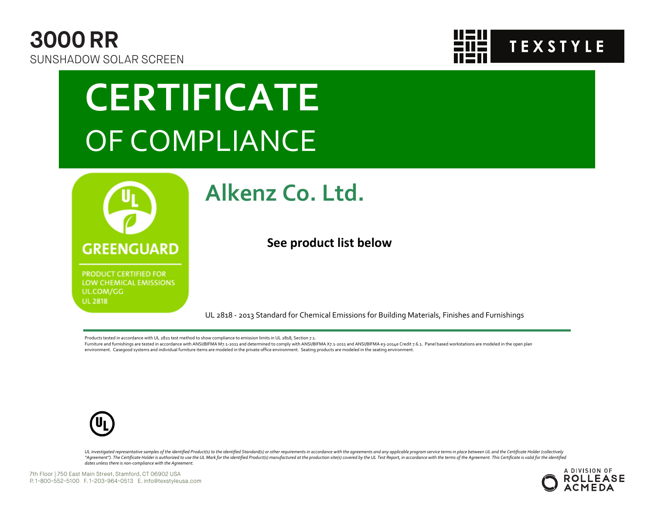



## **CERTIFICATE** OF COMPLIANCE



**PRODUCT CERTIFIED FOR** LOW CHEMICAL EMISSIONS UL.COM/GG **UL 2818** 

### **Alkenz Co. Ltd.**

**See product list below**

UL 2818 - 2013 Standard for Chemical Emissions for Building Materials, Finishes and Furnishings

Products tested in accordance with UL 2821 test method to show compliance to emission limits in UL 2818, Section 7.1.

Furniture and furnishings are tested in accordance with ANSI/BIFMA M7.1-2011 and determined to comply with ANSI/BIFMA X7.1-2011 and ANSI/BIFMA e3-2014e Credit 7.6.1. Panel based workstations are modeled in the open plan environment. Casegood systems and individual furniture items are modeled in the private office environment. Seating products are modeled in the seating environment.



UL investigated representative samples of the identified Product(s) to the identified Standard(s) or other requirements in accordance with the agreements and any applicable program service terms in place between UL and the "Agreement"). The Certificate Holder is authorized to use the UL Mark for the identified Product(s) manufactured at the production site(s) covered by the UL Test Report, in accordance with the terms of the Agreement. This *dates unless there is non-compliance with the Agreement.*

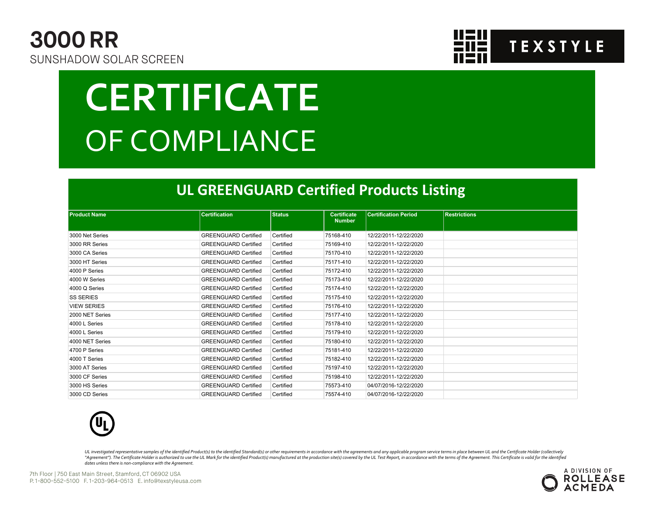



# **CERTIFICATE** OF COMPLIANCE

#### **UL GREENGUARD Certified Products Listing**

| <b>Product Name</b> | <b>Certification</b>        | <b>Status</b> | <b>Certificate</b><br><b>Number</b> | <b>Certification Period</b> | <b>Restrictions</b> |  |  |  |  |
|---------------------|-----------------------------|---------------|-------------------------------------|-----------------------------|---------------------|--|--|--|--|
| 3000 Net Series     | <b>GREENGUARD Certified</b> | Certified     | 75168-410                           | 12/22/2011-12/22/2020       |                     |  |  |  |  |
| 3000 RR Series      | <b>GREENGUARD Certified</b> | Certified     | 75169-410                           | 12/22/2011-12/22/2020       |                     |  |  |  |  |
| 3000 CA Series      | <b>GREENGUARD Certified</b> | Certified     | 75170-410                           | 12/22/2011-12/22/2020       |                     |  |  |  |  |
| 3000 HT Series      | <b>GREENGUARD Certified</b> | Certified     | 75171-410                           | 12/22/2011-12/22/2020       |                     |  |  |  |  |
| 4000 P Series       | <b>GREENGUARD Certified</b> | Certified     | 75172-410                           | 12/22/2011-12/22/2020       |                     |  |  |  |  |
| 4000 W Series       | <b>GREENGUARD Certified</b> | Certified     | 75173-410                           | 12/22/2011-12/22/2020       |                     |  |  |  |  |
| 4000 Q Series       | <b>GREENGUARD Certified</b> | Certified     | 75174-410                           | 12/22/2011-12/22/2020       |                     |  |  |  |  |
| <b>SS SERIES</b>    | <b>GREENGUARD Certified</b> | Certified     | 75175-410                           | 12/22/2011-12/22/2020       |                     |  |  |  |  |
| <b>VIEW SERIES</b>  | <b>GREENGUARD Certified</b> | Certified     | 75176-410                           | 12/22/2011-12/22/2020       |                     |  |  |  |  |
| 2000 NET Series     | <b>GREENGUARD Certified</b> | Certified     | 75177-410                           | 12/22/2011-12/22/2020       |                     |  |  |  |  |
| 4000 L Series       | <b>GREENGUARD Certified</b> | Certified     | 75178-410                           | 12/22/2011-12/22/2020       |                     |  |  |  |  |
| 4000 L Series       | <b>GREENGUARD Certified</b> | Certified     | 75179-410                           | 12/22/2011-12/22/2020       |                     |  |  |  |  |
| 4000 NET Series     | <b>GREENGUARD Certified</b> | Certified     | 75180-410                           | 12/22/2011-12/22/2020       |                     |  |  |  |  |
| 4700 P Series       | <b>GREENGUARD Certified</b> | Certified     | 75181-410                           | 12/22/2011-12/22/2020       |                     |  |  |  |  |
| 4000 T Series       | <b>GREENGUARD Certified</b> | Certified     | 75182-410                           | 12/22/2011-12/22/2020       |                     |  |  |  |  |
| 3000 AT Series      | <b>GREENGUARD Certified</b> | Certified     | 75197-410                           | 12/22/2011-12/22/2020       |                     |  |  |  |  |
| 3000 CF Series      | <b>GREENGUARD Certified</b> | Certified     | 75198-410                           | 12/22/2011-12/22/2020       |                     |  |  |  |  |
| 3000 HS Series      | <b>GREENGUARD Certified</b> | Certified     | 75573-410                           | 04/07/2016-12/22/2020       |                     |  |  |  |  |
| 3000 CD Series      | <b>GREENGUARD Certified</b> | Certified     | 75574-410                           | 04/07/2016-12/22/2020       |                     |  |  |  |  |



UL investigated representative samples of the identified Product(s) to the identified Standard(s) or other requirements in accordance with the agreements and any applicable program service terms in place between UL and the "Agreement"). The Certificate Holder is authorized to use the UL Mark for the identified Product(s) manufactured at the production site(s) covered by the UL Test Report, in accordance with the terms of the Agreement. This *dates unless there is non-compliance with the Agreement.*



7th Floor | 750 East Main Street, Stamford, CT 06902 USA P. 1-800-552-5100 F. 1-203-964-0513 E. info@texstyleusa.com